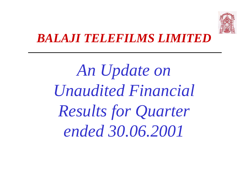

### *BALAJI TELEFILMS LIMITED*

*An Update on Unaudited Financial Results for Quarter ended 30.06.2001*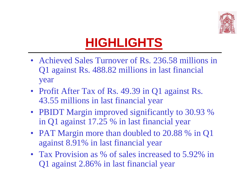

# **HIGHLIGHTS**

- Achieved Sales Turnover of Rs. 236.58 millions in Q1 against Rs. 488.82 millions in last financial year
- Profit After Tax of Rs. 49.39 in Q1 against Rs. 43.55 millions in last financial year
- PBIDT Margin improved significantly to 30.93 % in Q1 against 17.25 % in last financial year
- PAT Margin more than doubled to 20.88 % in Q1 against 8.91% in last financial year
- Tax Provision as % of sales increased to 5.92% in Q1 against 2.86% in last financial year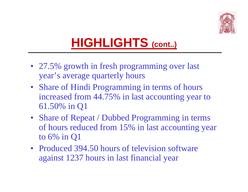

# **HIGHLIGHTS (cont..)**

- 27.5% growth in fresh programming over last year's average quarterly hours
- Share of Hindi Programming in terms of hours increased from 44.75% in last accounting year to 61.50% in Q1
- Share of Repeat / Dubbed Programming in terms of hours reduced from 15% in last accounting year to 6% in Q1
- Produced 394.50 hours of television software against 1237 hours in last financial year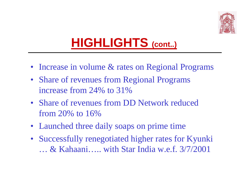

# **HIGHLIGHTS (cont..)**

- Increase in volume & rates on Regional Programs
- Share of revenues from Regional Programs increase from 24% to 31%
- Share of revenues from DD Network reduced from 20% to 16%
- Launched three daily soaps on prime time
- Successfully renegotiated higher rates for Kyunki … & Kahaani….. with Star India w.e.f. 3/7/2001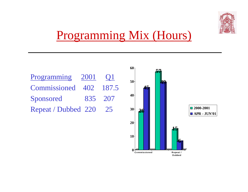

## Programming Mix (Hours)



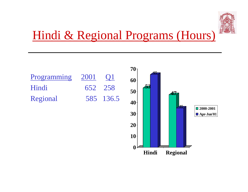

## Hindi & Regional Programs (Hours)

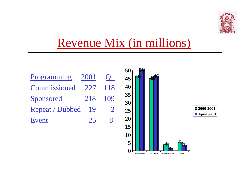

### Revenue Mix (in millions)



**Commissioned Sponsored Repeat / Dubbed Event**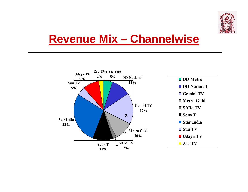

#### **Revenue Mix – Channelwise**

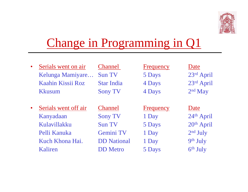

## Change in Programming in Q1

| $\bullet$ | Serials went on air  | <b>Channel</b>     | <b>Frequency</b> | Date                   |
|-----------|----------------------|--------------------|------------------|------------------------|
|           | Kelunga Mamiyare     | <b>Sun TV</b>      | 5 Days           | 23rd April             |
|           | Kaahin Kissii Roz    | <b>Star India</b>  | 4 Days           | 23rd April             |
|           | <b>Kkusum</b>        | <b>Sony TV</b>     | 4 Days           | $2nd$ May              |
|           |                      |                    |                  |                        |
| $\bullet$ | Serials went off air | <b>Channel</b>     | <b>Frequency</b> | Date                   |
|           | Kanyadaan            | <b>Sony TV</b>     | 1 Day            | 24th April             |
|           | Kulavillakku         | <b>Sun TV</b>      | 5 Days           | 20 <sup>th</sup> April |
|           | Pelli Kanuka         | Gemini TV          | 1 Day            | $2nd$ July             |
|           | Kuch Khona Hai.      | <b>DD</b> National | 1 Day            | 9th July               |
|           | Kaliren              | <b>DD</b> Metro    | 5 Days           | 6th July               |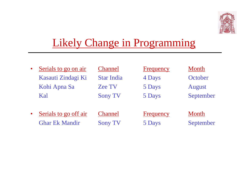

#### Likely Change in Programming

| $\bullet$ | Serials to go on air  | <b>Channel</b>    | Frequency        | Month         |
|-----------|-----------------------|-------------------|------------------|---------------|
|           | Kasauti Zindagi Ki    | <b>Star India</b> | 4 Days           | October       |
|           | Kohi Apna Sa          | <b>Zee TV</b>     | 5 Days           | <b>August</b> |
|           | Kal                   | <b>Sony TV</b>    | 5 Days           | September     |
|           |                       |                   |                  |               |
| $\bullet$ | Serials to go off air | <b>Channel</b>    | <b>Frequency</b> | Month         |
|           | <b>Ghar Ek Mandir</b> | <b>Sony TV</b>    | 5 Days           | September     |